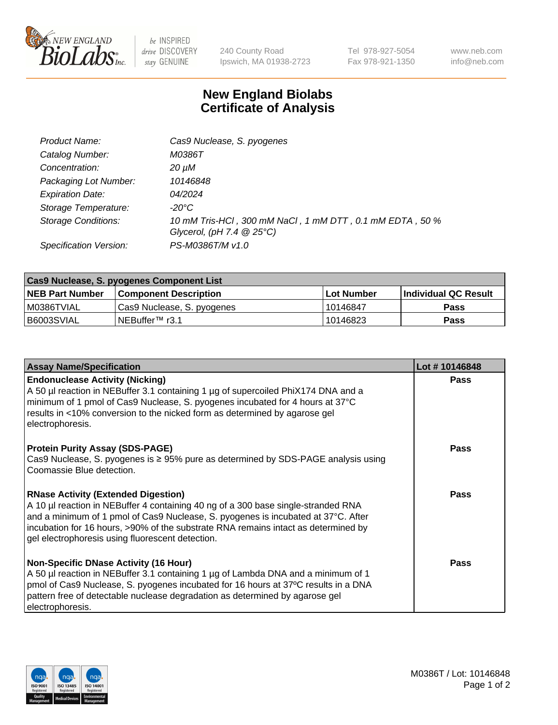

 $be$  INSPIRED drive DISCOVERY stay GENUINE

240 County Road Ipswich, MA 01938-2723 Tel 978-927-5054 Fax 978-921-1350 www.neb.com info@neb.com

## **New England Biolabs Certificate of Analysis**

| Cas9 Nuclease, S. pyogenes                                                              |
|-----------------------------------------------------------------------------------------|
| M0386T                                                                                  |
| 20 µM                                                                                   |
| 10146848                                                                                |
| <i>04/2024</i>                                                                          |
| -20°C                                                                                   |
| 10 mM Tris-HCl, 300 mM NaCl, 1 mM DTT, 0.1 mM EDTA, 50 %<br>Glycerol, (pH 7.4 $@25°C$ ) |
| PS-M0386T/M v1.0                                                                        |
|                                                                                         |

| Cas9 Nuclease, S. pyogenes Component List |                              |                   |                      |  |  |
|-------------------------------------------|------------------------------|-------------------|----------------------|--|--|
| <b>NEB Part Number</b>                    | <b>Component Description</b> | <b>Lot Number</b> | Individual QC Result |  |  |
| I M0386TVIAL                              | Cas9 Nuclease, S. pyogenes   | l 10146847        | <b>Pass</b>          |  |  |
| B6003SVIAL                                | INEBuffer™ r3.1              | 10146823          | Pass                 |  |  |

| <b>Assay Name/Specification</b>                                                                                                                                                                                                                                                                                                                                | Lot #10146848 |
|----------------------------------------------------------------------------------------------------------------------------------------------------------------------------------------------------------------------------------------------------------------------------------------------------------------------------------------------------------------|---------------|
| <b>Endonuclease Activity (Nicking)</b><br>A 50 µl reaction in NEBuffer 3.1 containing 1 µg of supercoiled PhiX174 DNA and a<br>minimum of 1 pmol of Cas9 Nuclease, S. pyogenes incubated for 4 hours at 37°C<br>results in <10% conversion to the nicked form as determined by agarose gel<br>electrophoresis.                                                 | <b>Pass</b>   |
| <b>Protein Purity Assay (SDS-PAGE)</b><br>Cas9 Nuclease, S. pyogenes is $\geq$ 95% pure as determined by SDS-PAGE analysis using<br>Coomassie Blue detection.                                                                                                                                                                                                  | <b>Pass</b>   |
| <b>RNase Activity (Extended Digestion)</b><br>A 10 µl reaction in NEBuffer 4 containing 40 ng of a 300 base single-stranded RNA<br>and a minimum of 1 pmol of Cas9 Nuclease, S. pyogenes is incubated at 37°C. After<br>incubation for 16 hours, >90% of the substrate RNA remains intact as determined by<br>gel electrophoresis using fluorescent detection. | Pass          |
| <b>Non-Specific DNase Activity (16 Hour)</b><br>A 50 µl reaction in NEBuffer 3.1 containing 1 µg of Lambda DNA and a minimum of 1<br>pmol of Cas9 Nuclease, S. pyogenes incubated for 16 hours at 37°C results in a DNA<br>pattern free of detectable nuclease degradation as determined by agarose gel<br>electrophoresis.                                    | Pass          |